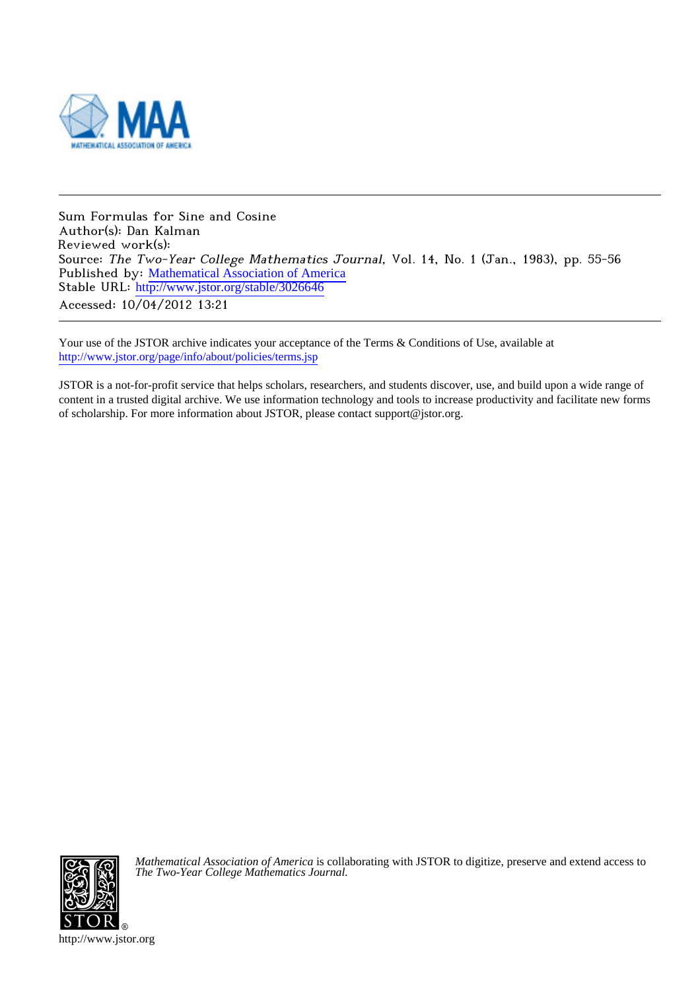

Sum Formulas for Sine and Cosine Author(s): Dan Kalman Reviewed work(s): Source: The Two-Year College Mathematics Journal, Vol. 14, No. 1 (Jan., 1983), pp. 55-56 Published by: [Mathematical Association of America](http://www.jstor.org/action/showPublisher?publisherCode=maa) Stable URL: [http://www.jstor.org/stable/3026646](http://www.jstor.org/stable/3026646?origin=JSTOR-pdf) Accessed: 10/04/2012 13:21

Your use of the JSTOR archive indicates your acceptance of the Terms & Conditions of Use, available at <http://www.jstor.org/page/info/about/policies/terms.jsp>

JSTOR is a not-for-profit service that helps scholars, researchers, and students discover, use, and build upon a wide range of content in a trusted digital archive. We use information technology and tools to increase productivity and facilitate new forms of scholarship. For more information about JSTOR, please contact support@jstor.org.



*Mathematical Association of America* is collaborating with JSTOR to digitize, preserve and extend access to *The Two-Year College Mathematics Journal.*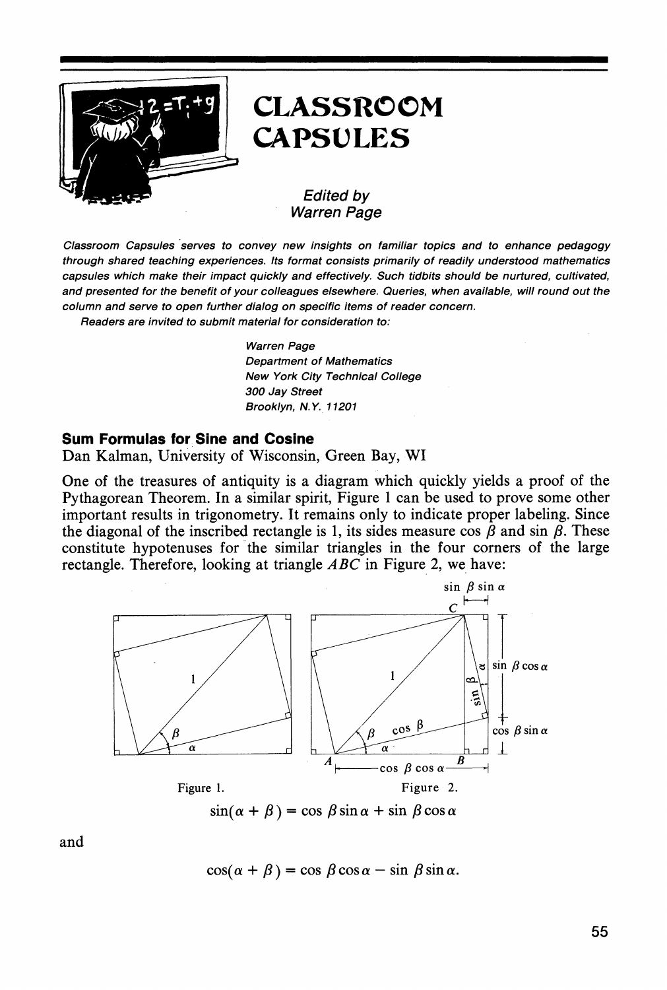

## **CLASSROOM CAPSULES**

## **Edited by Warren Page**

Classroom Capsules serves to convey new insights on familiar topics and to enhance pedagogy through shared teaching experiences. Its format consists primarily of readily understood mathematics capsules which make their impact quickly and effectively. Such tidbits should be nurtured, cultivated, and presented for the benefit of your colleagues elsewhere. Queries, when available, will round out the column and serve to open further dialog on specific items of reader concern.

Readers are invited to submit material for consideration to:

**Warren Page Department of Mathematics** New York City Technical College 300 Jay Street Brooklyn, N.Y. 11201

## **Sum Formulas for Sine and Cosine**

Dan Kalman, University of Wisconsin, Green Bay, WI

One of the treasures of antiquity is a diagram which quickly yields a proof of the Pythagorean Theorem. In a similar spirit, Figure 1 can be used to prove some other important results in trigonometry. It remains only to indicate proper labeling. Since the diagonal of the inscribed rectangle is 1, its sides measure cos  $\beta$  and sin  $\beta$ . These constitute hypotenuses for the similar triangles in the four corners of the large rectangle. Therefore, looking at triangle  $ABC$  in Figure 2, we have:



and

$$
\cos(\alpha + \beta) = \cos \beta \cos \alpha - \sin \beta \sin \alpha.
$$